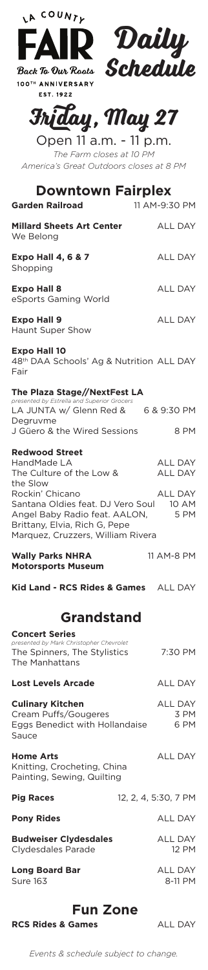| LA COUNTY<br>FAIR Daily                                                                                                                                     |                           |
|-------------------------------------------------------------------------------------------------------------------------------------------------------------|---------------------------|
| 100TH ANNIVERSARY<br><b>EST. 1922</b>                                                                                                                       |                           |
| Friday, May 27                                                                                                                                              |                           |
| Open 11 a.m. - 11 p.m.<br>The Farm closes at 10 PM<br>America's Great Outdoors closes at 8 PM                                                               |                           |
| <b>Downtown Fairplex</b><br><b>Garden Railroad</b>                                                                                                          | 11 AM-9:30 PM             |
| <b>Millard Sheets Art Center</b><br>We Belong                                                                                                               | <b>ALL DAY</b>            |
| <b>Expo Hall 4, 6 &amp; 7</b><br>Shopping                                                                                                                   | <b>ALL DAY</b>            |
| <b>Expo Hall 8</b><br>eSports Gaming World                                                                                                                  | <b>ALL DAY</b>            |
| <b>Expo Hall 9</b><br><b>Haunt Super Show</b>                                                                                                               | ALL DAY                   |
| <b>Expo Hall 10</b><br>48 <sup>th</sup> DAA Schools' Ag & Nutrition ALL DAY<br>Fair                                                                         |                           |
| The Plaza Stage//NextFest LA<br>presented by Estrella and Superior Grocers                                                                                  |                           |
| LA JUNTA w/ Glenn Red & 6 & 9:30 PM<br>Degruvme<br>J Güero & the Wired Sessions                                                                             | 8 PM                      |
| <b>Redwood Street</b><br>HandMade LA<br>The Culture of the Low &<br>the Slow                                                                                | ALL DAY<br><b>ALL DAY</b> |
| Rockin' Chicano<br>Santana Oldies feat. DJ Vero Soul<br>Angel Baby Radio feat. AALON,<br>Brittany, Elvia, Rich G, Pepe<br>Marquez, Cruzzers, William Rivera | ALL DAY<br>10 AM<br>5 PM  |
| <b>Wally Parks NHRA</b><br><b>Motorsports Museum</b>                                                                                                        | 11 AM-8 PM                |
| Kid Land - RCS Rides & Games ALL DAY                                                                                                                        |                           |
| <b>Grandstand</b>                                                                                                                                           |                           |
| <b>Concert Series</b><br>presented by Mark Christopher Chevrolet<br>The Spinners, The Stylistics<br>The Manhattans                                          | 7:30 PM                   |
| <b>Lost Levels Arcade</b>                                                                                                                                   | ALL DAY                   |
| <b>Culinary Kitchen</b><br>Cream Puffs/Gougeres<br>Eggs Benedict with Hollandaise<br>Sauce                                                                  | ALL DAY<br>3 PM<br>6 PM   |
| Home Arts<br>Knitting, Crocheting, China<br>Painting, Sewing, Quilting                                                                                      | ALL DAY                   |

**Pig Races**

**Pony Rides**

**Budweiser Clydesdales** Clydesdales Parade

**Long Board Bar** Sure 163

## **Fun Zone**

**RCS Rides & Games** ALL DAY

ALL DAY

ALL DAY 12 PM

ALL DAY 8-11 PM

12, 2, 4, 5:30, 7 PM